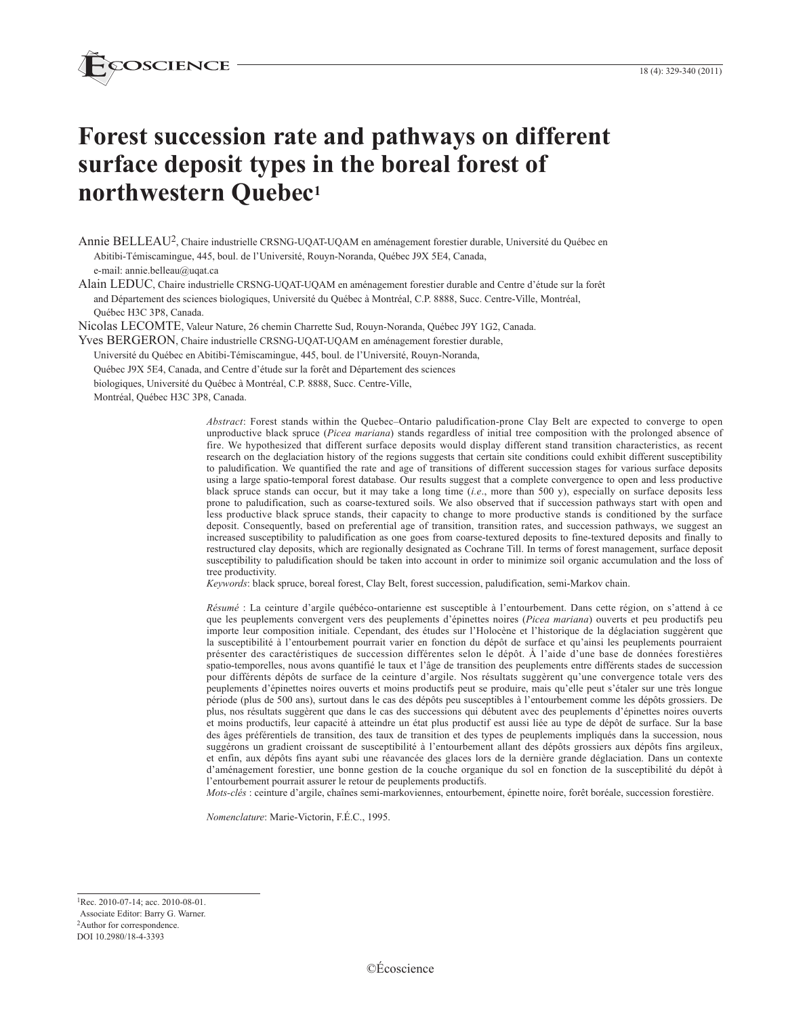



# **Forest succession rate and pathways on different surface deposit types in the boreal forest of northwestern Quebec1**

Annie BELLEAU2, Chaire industrielle CRSNG-UQAT-UQAM en aménagement forestier durable, Université du Québec en Abitibi-Témiscamingue, 445, boul. de l'Université, Rouyn-Noranda, Québec J9X 5E4, Canada, e-mail: annie.belleau@uqat.ca

Alain LEDUC, Chaire industrielle CRSNG-UQAT-UQAM en aménagement forestier durable and Centre d'étude sur la forêt and Département des sciences biologiques, Université du Québec à Montréal, C.P. 8888, Succ. Centre-Ville, Montréal, Québec H3C 3P8, Canada.

Nicolas LECOMTE, Valeur Nature, 26 chemin Charrette Sud, Rouyn-Noranda, Québec J9Y 1G2, Canada.

Yves BERGERON, Chaire industrielle CRSNG-UQAT-UQAM en aménagement forestier durable,

Université du Québec en Abitibi-Témiscamingue, 445, boul. de l'Université, Rouyn-Noranda,

Québec J9X 5E4, Canada, and Centre d'étude sur la forêt and Département des sciences

biologiques, Université du Québec à Montréal, C.P. 8888, Succ. Centre-Ville,

Montréal, Québec H3C 3P8, Canada.

*Abstract*: Forest stands within the Quebec–Ontario paludification-prone Clay Belt are expected to converge to open unproductive black spruce (*Picea mariana*) stands regardless of initial tree composition with the prolonged absence of fire. We hypothesized that different surface deposits would display different stand transition characteristics, as recent research on the deglaciation history of the regions suggests that certain site conditions could exhibit different susceptibility to paludification. We quantified the rate and age of transitions of different succession stages for various surface deposits using a large spatio-temporal forest database. Our results suggest that a complete convergence to open and less productive black spruce stands can occur, but it may take a long time (*i.e*., more than 500 y), especially on surface deposits less prone to paludification, such as coarse-textured soils. We also observed that if succession pathways start with open and less productive black spruce stands, their capacity to change to more productive stands is conditioned by the surface deposit. Consequently, based on preferential age of transition, transition rates, and succession pathways, we suggest an increased susceptibility to paludification as one goes from coarse-textured deposits to fine-textured deposits and finally to restructured clay deposits, which are regionally designated as Cochrane Till. In terms of forest management, surface deposit susceptibility to paludification should be taken into account in order to minimize soil organic accumulation and the loss of tree productivity.

*Keywords*: black spruce, boreal forest, Clay Belt, forest succession, paludification, semi-Markov chain.

*Résumé* : La ceinture d'argile québéco-ontarienne est susceptible à l'entourbement. Dans cette région, on s'attend à ce que les peuplements convergent vers des peuplements d'épinettes noires (*Picea mariana*) ouverts et peu productifs peu importe leur composition initiale. Cependant, des études sur l'Holocène et l'historique de la déglaciation suggèrent que la susceptibilité à l'entourbement pourrait varier en fonction du dépôt de surface et qu'ainsi les peuplements pourraient présenter des caractéristiques de succession différentes selon le dépôt. À l'aide d'une base de données forestières spatio-temporelles, nous avons quantifié le taux et l'âge de transition des peuplements entre différents stades de succession pour différents dépôts de surface de la ceinture d'argile. Nos résultats suggèrent qu'une convergence totale vers des peuplements d'épinettes noires ouverts et moins productifs peut se produire, mais qu'elle peut s'étaler sur une très longue période (plus de 500 ans), surtout dans le cas des dépôts peu susceptibles à l'entourbement comme les dépôts grossiers. De plus, nos résultats suggèrent que dans le cas des successions qui débutent avec des peuplements d'épinettes noires ouverts et moins productifs, leur capacité à atteindre un état plus productif est aussi liée au type de dépôt de surface. Sur la base des âges préférentiels de transition, des taux de transition et des types de peuplements impliqués dans la succession, nous suggérons un gradient croissant de susceptibilité à l'entourbement allant des dépôts grossiers aux dépôts fins argileux, et enfin, aux dépôts fins ayant subi une réavancée des glaces lors de la dernière grande déglaciation. Dans un contexte d'aménagement forestier, une bonne gestion de la couche organique du sol en fonction de la susceptibilité du dépôt à l'entourbement pourrait assurer le retour de peuplements productifs.

*Mots-clés* : ceinture d'argile, chaînes semi-markoviennes, entourbement, épinette noire, forêt boréale, succession forestière.

*Nomenclature*: Marie-Victorin, F.É.C., 1995.

1Rec. 2010-07-14; acc. 2010-08-01. Associate Editor: Barry G. Warner. 2Author for correspondence. DOI 10.2980/18-4-3393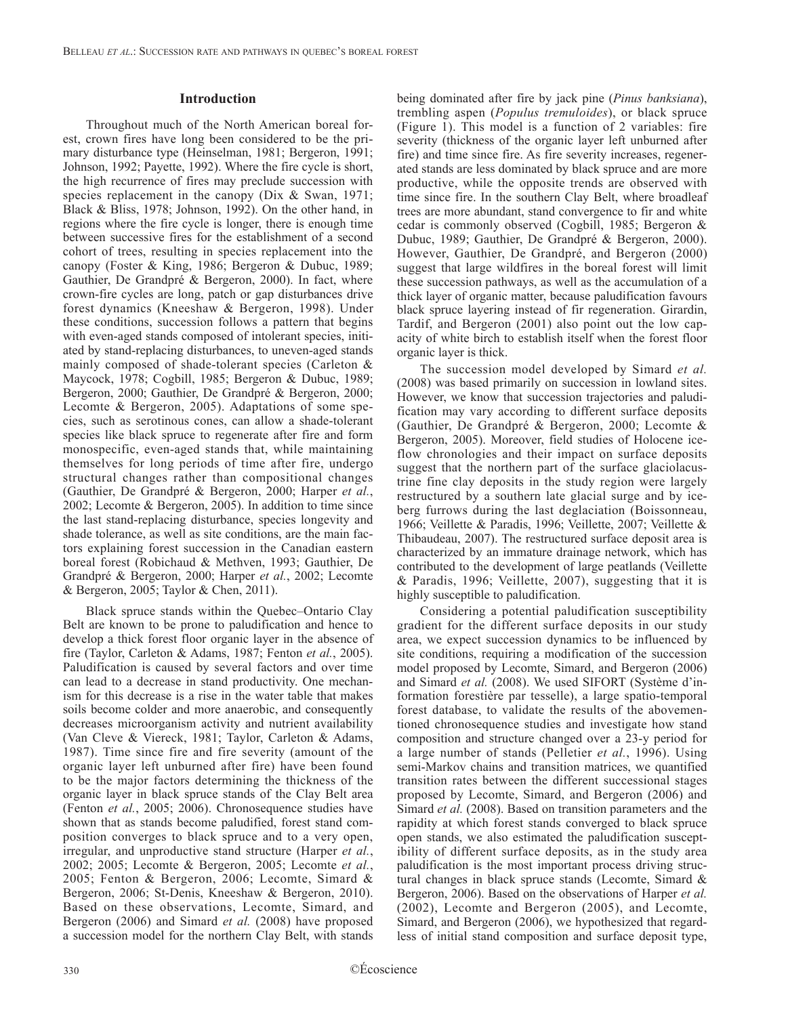# **Introduction**

Throughout much of the North American boreal forest, crown fires have long been considered to be the primary disturbance type (Heinselman, 1981; Bergeron, 1991; Johnson, 1992; Payette, 1992). Where the fire cycle is short, the high recurrence of fires may preclude succession with species replacement in the canopy (Dix & Swan, 1971; Black & Bliss, 1978; Johnson, 1992). On the other hand, in regions where the fire cycle is longer, there is enough time between successive fires for the establishment of a second cohort of trees, resulting in species replacement into the canopy (Foster & King, 1986; Bergeron & Dubuc, 1989; Gauthier, De Grandpré & Bergeron, 2000). In fact, where crown-fire cycles are long, patch or gap disturbances drive forest dynamics (Kneeshaw & Bergeron, 1998). Under these conditions, succession follows a pattern that begins with even-aged stands composed of intolerant species, initiated by stand-replacing disturbances, to uneven-aged stands mainly composed of shade-tolerant species (Carleton & Maycock, 1978; Cogbill, 1985; Bergeron & Dubuc, 1989; Bergeron, 2000; Gauthier, De Grandpré & Bergeron, 2000; Lecomte & Bergeron, 2005). Adaptations of some species, such as serotinous cones, can allow a shade-tolerant species like black spruce to regenerate after fire and form monospecific, even-aged stands that, while maintaining themselves for long periods of time after fire, undergo structural changes rather than compositional changes (Gauthier, De Grandpré & Bergeron, 2000; Harper *et al.*, 2002; Lecomte & Bergeron, 2005). In addition to time since the last stand-replacing disturbance, species longevity and shade tolerance, as well as site conditions, are the main factors explaining forest succession in the Canadian eastern boreal forest (Robichaud & Methven, 1993; Gauthier, De Grandpré & Bergeron, 2000; Harper *et al.*, 2002; Lecomte & Bergeron, 2005; Taylor & Chen, 2011).

Black spruce stands within the Quebec–Ontario Clay Belt are known to be prone to paludification and hence to develop a thick forest floor organic layer in the absence of fire (Taylor, Carleton & Adams, 1987; Fenton *et al.*, 2005). Paludification is caused by several factors and over time can lead to a decrease in stand productivity. One mechanism for this decrease is a rise in the water table that makes soils become colder and more anaerobic, and consequently decreases microorganism activity and nutrient availability (Van Cleve & Viereck, 1981; Taylor, Carleton & Adams, 1987). Time since fire and fire severity (amount of the organic layer left unburned after fire) have been found to be the major factors determining the thickness of the organic layer in black spruce stands of the Clay Belt area (Fenton *et al.*, 2005; 2006). Chronosequence studies have shown that as stands become paludified, forest stand composition converges to black spruce and to a very open, irregular, and unproductive stand structure (Harper *et al.*, 2002; 2005; Lecomte & Bergeron, 2005; Lecomte *et al.*, 2005; Fenton & Bergeron, 2006; Lecomte, Simard & Bergeron, 2006; St-Denis, Kneeshaw & Bergeron, 2010). Based on these observations, Lecomte, Simard, and Bergeron (2006) and Simard *et al.* (2008) have proposed a succession model for the northern Clay Belt, with stands

being dominated after fire by jack pine (*Pinus banksiana*), trembling aspen (*Populus tremuloides*), or black spruce (Figure 1). This model is a function of 2 variables: fire severity (thickness of the organic layer left unburned after fire) and time since fire. As fire severity increases, regenerated stands are less dominated by black spruce and are more productive, while the opposite trends are observed with time since fire. In the southern Clay Belt, where broadleaf trees are more abundant, stand convergence to fir and white cedar is commonly observed (Cogbill, 1985; Bergeron & Dubuc, 1989; Gauthier, De Grandpré & Bergeron, 2000). However, Gauthier, De Grandpré, and Bergeron (2000) suggest that large wildfires in the boreal forest will limit these succession pathways, as well as the accumulation of a thick layer of organic matter, because paludification favours black spruce layering instead of fir regeneration. Girardin, Tardif, and Bergeron (2001) also point out the low capacity of white birch to establish itself when the forest floor organic layer is thick.

The succession model developed by Simard *et al.* (2008) was based primarily on succession in lowland sites. However, we know that succession trajectories and paludification may vary according to different surface deposits (Gauthier, De Grandpré & Bergeron, 2000; Lecomte & Bergeron, 2005). Moreover, field studies of Holocene iceflow chronologies and their impact on surface deposits suggest that the northern part of the surface glaciolacustrine fine clay deposits in the study region were largely restructured by a southern late glacial surge and by iceberg furrows during the last deglaciation (Boissonneau, 1966; Veillette & Paradis, 1996; Veillette, 2007; Veillette & Thibaudeau, 2007). The restructured surface deposit area is characterized by an immature drainage network, which has contributed to the development of large peatlands (Veillette & Paradis, 1996; Veillette, 2007), suggesting that it is highly susceptible to paludification.

Considering a potential paludification susceptibility gradient for the different surface deposits in our study area, we expect succession dynamics to be influenced by site conditions, requiring a modification of the succession model proposed by Lecomte, Simard, and Bergeron (2006) and Simard *et al.* (2008). We used SIFORT (Système d'information forestière par tesselle), a large spatio-temporal forest database, to validate the results of the abovementioned chronosequence studies and investigate how stand composition and structure changed over a 23-y period for a large number of stands (Pelletier *et al.*, 1996). Using semi-Markov chains and transition matrices, we quantified transition rates between the different successional stages proposed by Lecomte, Simard, and Bergeron (2006) and Simard *et al.* (2008). Based on transition parameters and the rapidity at which forest stands converged to black spruce open stands, we also estimated the paludification susceptibility of different surface deposits, as in the study area paludification is the most important process driving structural changes in black spruce stands (Lecomte, Simard & Bergeron, 2006). Based on the observations of Harper *et al.* (2002), Lecomte and Bergeron (2005), and Lecomte, Simard, and Bergeron (2006), we hypothesized that regardless of initial stand composition and surface deposit type,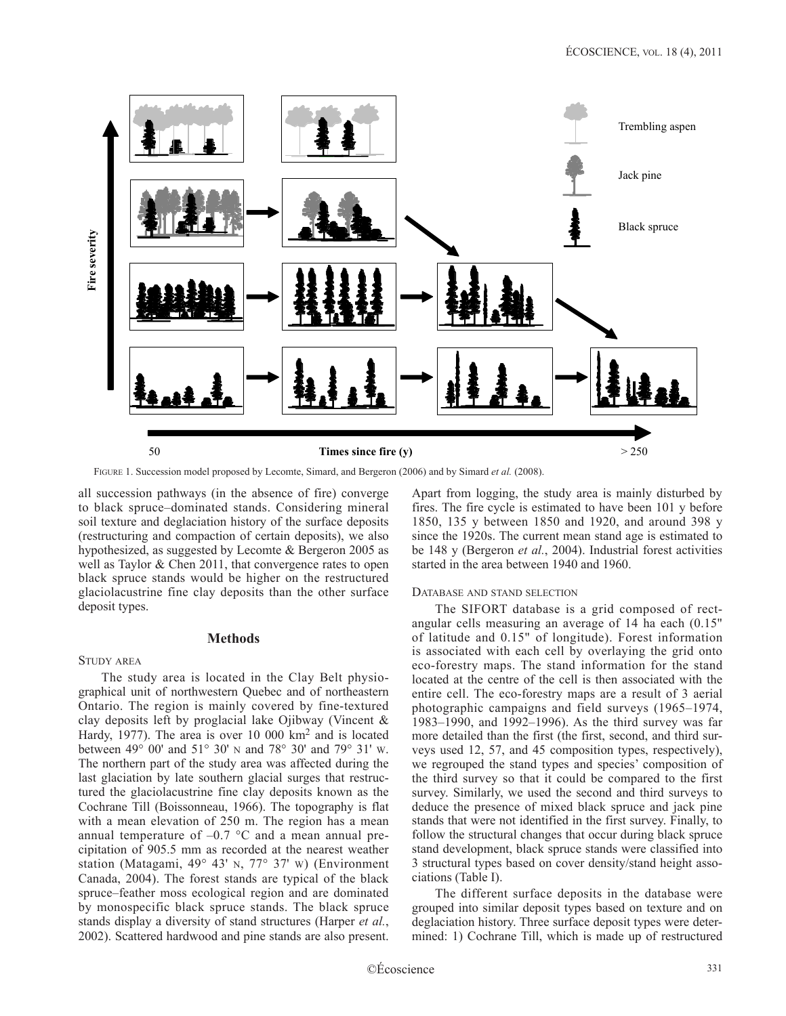

Figure 1. Succession model proposed by Lecomte, Simard, and Bergeron (2006) and by Simard *et al.* (2008).

all succession pathways (in the absence of fire) converge to black spruce–dominated stands. Considering mineral soil texture and deglaciation history of the surface deposits (restructuring and compaction of certain deposits), we also hypothesized, as suggested by Lecomte & Bergeron 2005 as well as Taylor & Chen 2011, that convergence rates to open black spruce stands would be higher on the restructured glaciolacustrine fine clay deposits than the other surface deposit types.

# **Methods**

## STUDY AREA

The study area is located in the Clay Belt physiographical unit of northwestern Quebec and of northeastern Ontario. The region is mainly covered by fine-textured clay deposits left by proglacial lake Ojibway (Vincent & Hardy, 1977). The area is over 10 000 km2 and is located between 49° 00' and 51° 30' n and 78° 30' and 79° 31' w. The northern part of the study area was affected during the last glaciation by late southern glacial surges that restructured the glaciolacustrine fine clay deposits known as the Cochrane Till (Boissonneau, 1966). The topography is flat with a mean elevation of 250 m. The region has a mean annual temperature of  $-0.7$  °C and a mean annual precipitation of 905.5 mm as recorded at the nearest weather station (Matagami, 49° 43' n, 77° 37' w) (Environment Canada, 2004). The forest stands are typical of the black spruce–feather moss ecological region and are dominated by monospecific black spruce stands. The black spruce stands display a diversity of stand structures (Harper *et al.*, 2002). Scattered hardwood and pine stands are also present.

Apart from logging, the study area is mainly disturbed by fires. The fire cycle is estimated to have been 101 y before 1850, 135 y between 1850 and 1920, and around 398 y since the 1920s. The current mean stand age is estimated to be 148 y (Bergeron *et al.*, 2004). Industrial forest activities started in the area between 1940 and 1960.

## Database and stand selection

The SIFORT database is a grid composed of rectangular cells measuring an average of 14 ha each (0.15" of latitude and 0.15" of longitude). Forest information is associated with each cell by overlaying the grid onto eco-forestry maps. The stand information for the stand located at the centre of the cell is then associated with the entire cell. The eco-forestry maps are a result of 3 aerial photographic campaigns and field surveys (1965–1974, 1983–1990, and 1992–1996). As the third survey was far more detailed than the first (the first, second, and third surveys used 12, 57, and 45 composition types, respectively), we regrouped the stand types and species' composition of the third survey so that it could be compared to the first survey. Similarly, we used the second and third surveys to deduce the presence of mixed black spruce and jack pine stands that were not identified in the first survey. Finally, to follow the structural changes that occur during black spruce stand development, black spruce stands were classified into 3 structural types based on cover density/stand height associations (Table I).

The different surface deposits in the database were grouped into similar deposit types based on texture and on deglaciation history. Three surface deposit types were determined: 1) Cochrane Till, which is made up of restructured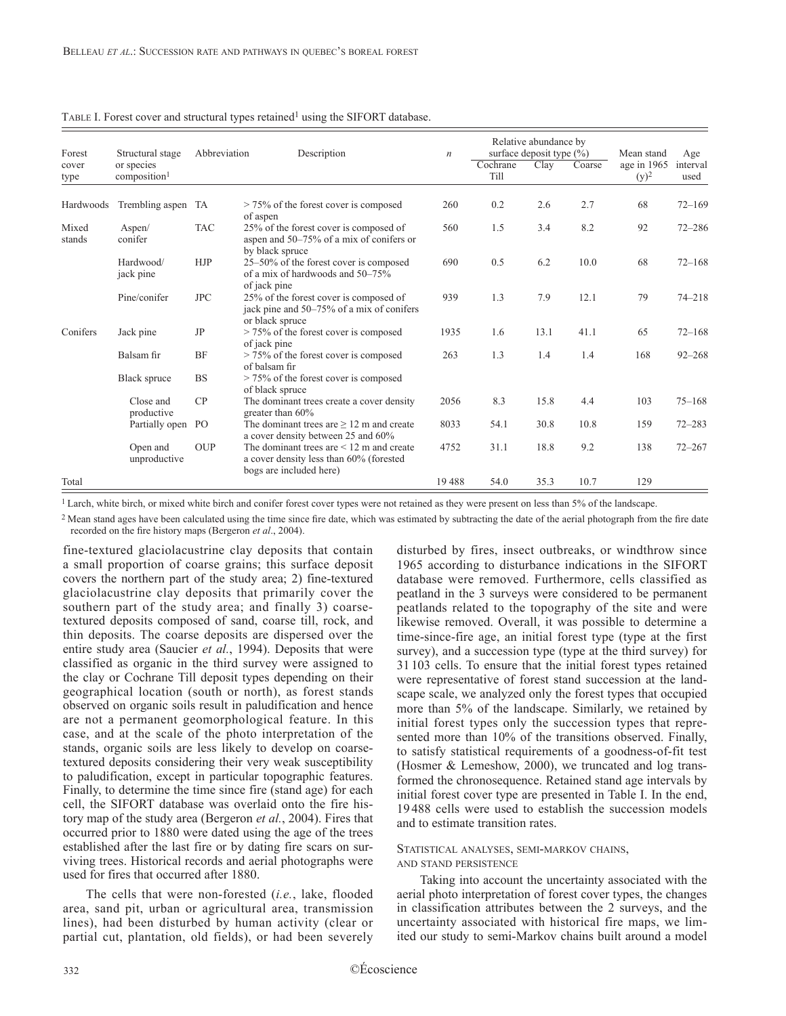| Forest          | Structural stage                       | Abbreviation<br>Description |                                                                                                                     | $\,n$ | Relative abundance by<br>surface deposit type $(\% )$ |      |        | Mean stand             | Age              |
|-----------------|----------------------------------------|-----------------------------|---------------------------------------------------------------------------------------------------------------------|-------|-------------------------------------------------------|------|--------|------------------------|------------------|
| cover<br>type   | or species<br>composition <sup>1</sup> |                             |                                                                                                                     |       | Cochrane<br>Till                                      | Clay | Coarse | age in 1965<br>$(y)^2$ | interval<br>used |
|                 |                                        |                             |                                                                                                                     |       |                                                       |      |        |                        |                  |
| Hardwoods       | Trembling aspen                        | TA                          | > 75% of the forest cover is composed<br>of aspen                                                                   | 260   | 0.2                                                   | 2.6  | 2.7    | 68                     | $72 - 169$       |
| Mixed<br>stands | Aspen/<br>conifer                      | <b>TAC</b>                  | 25% of the forest cover is composed of<br>aspen and 50-75% of a mix of conifers or<br>by black spruce               | 560   | 1.5                                                   | 3.4  | 8.2    | 92                     | $72 - 286$       |
|                 | Hardwood/<br>jack pine                 | <b>HJP</b>                  | 25–50% of the forest cover is composed<br>of a mix of hardwoods and 50–75%<br>of jack pine                          | 690   | 0.5                                                   | 6.2  | 10.0   | 68                     | $72 - 168$       |
|                 | Pine/conifer                           | $_{\rm JPC}$                | 25% of the forest cover is composed of<br>jack pine and 50–75% of a mix of conifers<br>or black spruce              | 939   | 1.3                                                   | 7.9  | 12.1   | 79                     | $74 - 218$       |
| Conifers        | Jack pine                              | JP                          | > 75% of the forest cover is composed<br>of jack pine                                                               | 1935  | 1.6                                                   | 13.1 | 41.1   | 65                     | $72 - 168$       |
|                 | Balsam fir                             | <b>BF</b>                   | $> 75\%$ of the forest cover is composed<br>of balsam fir                                                           | 263   | 1.3                                                   | 1.4  | 1.4    | 168                    | $92 - 268$       |
|                 | Black spruce                           | <b>BS</b>                   | > 75% of the forest cover is composed<br>of black spruce                                                            |       |                                                       |      |        |                        |                  |
|                 | Close and<br>productive                | CP                          | The dominant trees create a cover density<br>greater than $60\%$                                                    | 2056  | 8.3                                                   | 15.8 | 4.4    | 103                    | $75 - 168$       |
|                 | Partially open                         | P <sub>O</sub>              | The dominant trees are $> 12$ m and create<br>a cover density between 25 and 60%                                    | 8033  | 54.1                                                  | 30.8 | 10.8   | 159                    | $72 - 283$       |
|                 | Open and<br>unproductive               | <b>OUP</b>                  | The dominant trees are $\leq 12$ m and create<br>a cover density less than 60% (forested<br>bogs are included here) | 4752  | 31.1                                                  | 18.8 | 9.2    | 138                    | $72 - 267$       |
| Total           |                                        |                             |                                                                                                                     | 19488 | 54.0                                                  | 35.3 | 10.7   | 129                    |                  |

TABLE I. Forest cover and structural types retained<sup>1</sup> using the SIFORT database.

<sup>1</sup> Larch, white birch, or mixed white birch and conifer forest cover types were not retained as they were present on less than 5% of the landscape.

<sup>2</sup> Mean stand ages have been calculated using the time since fire date, which was estimated by subtracting the date of the aerial photograph from the fire date recorded on the fire history maps (Bergeron *et al*., 2004).

fine-textured glaciolacustrine clay deposits that contain a small proportion of coarse grains; this surface deposit covers the northern part of the study area; 2) fine-textured glaciolacustrine clay deposits that primarily cover the southern part of the study area; and finally 3) coarsetextured deposits composed of sand, coarse till, rock, and thin deposits. The coarse deposits are dispersed over the entire study area (Saucier *et al.*, 1994). Deposits that were classified as organic in the third survey were assigned to the clay or Cochrane Till deposit types depending on their geographical location (south or north), as forest stands observed on organic soils result in paludification and hence are not a permanent geomorphological feature. In this case, and at the scale of the photo interpretation of the stands, organic soils are less likely to develop on coarsetextured deposits considering their very weak susceptibility to paludification, except in particular topographic features. Finally, to determine the time since fire (stand age) for each cell, the SIFORT database was overlaid onto the fire history map of the study area (Bergeron *et al.*, 2004). Fires that occurred prior to 1880 were dated using the age of the trees established after the last fire or by dating fire scars on surviving trees. Historical records and aerial photographs were used for fires that occurred after 1880.

The cells that were non-forested (*i.e.*, lake, flooded area, sand pit, urban or agricultural area, transmission lines), had been disturbed by human activity (clear or partial cut, plantation, old fields), or had been severely disturbed by fires, insect outbreaks, or windthrow since 1965 according to disturbance indications in the SIFORT database were removed. Furthermore, cells classified as peatland in the 3 surveys were considered to be permanent peatlands related to the topography of the site and were likewise removed. Overall, it was possible to determine a time-since-fire age, an initial forest type (type at the first survey), and a succession type (type at the third survey) for 31103 cells. To ensure that the initial forest types retained were representative of forest stand succession at the landscape scale, we analyzed only the forest types that occupied more than 5% of the landscape. Similarly, we retained by initial forest types only the succession types that represented more than 10% of the transitions observed. Finally, to satisfy statistical requirements of a goodness-of-fit test (Hosmer & Lemeshow, 2000), we truncated and log transformed the chronosequence. Retained stand age intervals by initial forest cover type are presented in Table I. In the end, 19 488 cells were used to establish the succession models and to estimate transition rates.

# Statistical analyses, semi-markov chains,

#### and stand persistence

Taking into account the uncertainty associated with the aerial photo interpretation of forest cover types, the changes in classification attributes between the 2 surveys, and the uncertainty associated with historical fire maps, we limited our study to semi-Markov chains built around a model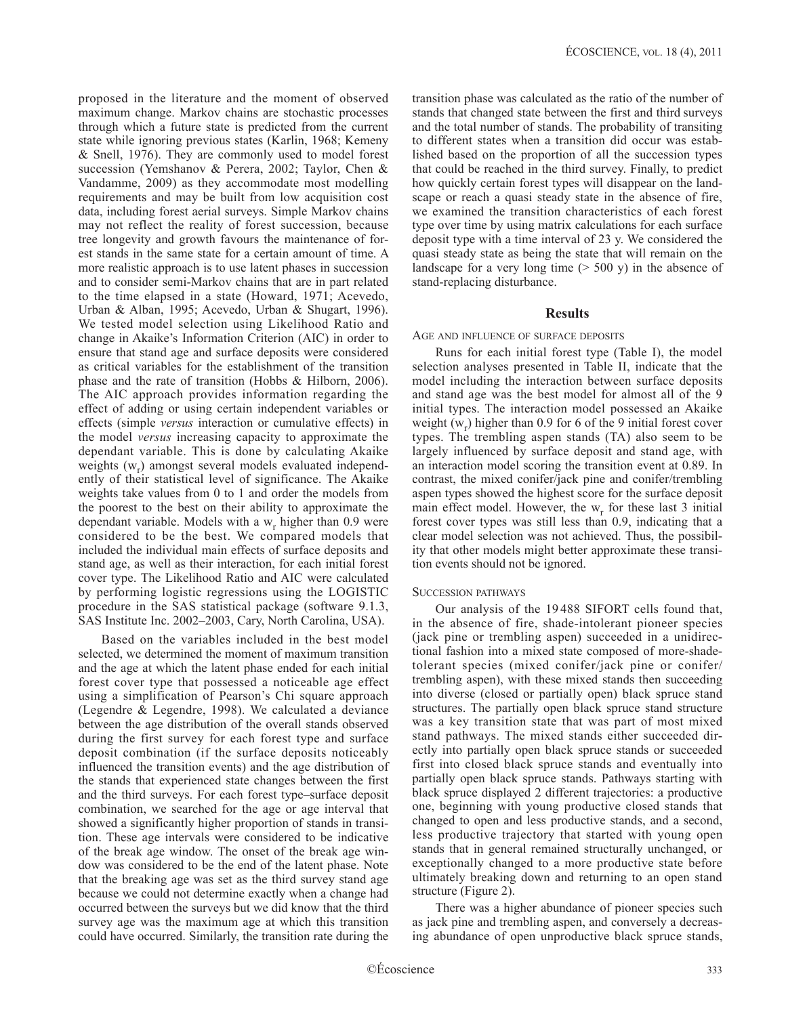proposed in the literature and the moment of observed maximum change. Markov chains are stochastic processes through which a future state is predicted from the current state while ignoring previous states (Karlin, 1968; Kemeny & Snell, 1976). They are commonly used to model forest succession (Yemshanov & Perera, 2002; Taylor, Chen & Vandamme, 2009) as they accommodate most modelling requirements and may be built from low acquisition cost data, including forest aerial surveys. Simple Markov chains may not reflect the reality of forest succession, because tree longevity and growth favours the maintenance of forest stands in the same state for a certain amount of time. A more realistic approach is to use latent phases in succession and to consider semi-Markov chains that are in part related to the time elapsed in a state (Howard, 1971; Acevedo, Urban & Alban, 1995; Acevedo, Urban & Shugart, 1996). We tested model selection using Likelihood Ratio and change in Akaike's Information Criterion (AIC) in order to ensure that stand age and surface deposits were considered as critical variables for the establishment of the transition phase and the rate of transition (Hobbs & Hilborn, 2006). The AIC approach provides information regarding the effect of adding or using certain independent variables or effects (simple *versus* interaction or cumulative effects) in the model *versus* increasing capacity to approximate the dependant variable. This is done by calculating Akaike weights (w<sub>r</sub>) amongst several models evaluated independently of their statistical level of significance. The Akaike weights take values from 0 to 1 and order the models from the poorest to the best on their ability to approximate the dependant variable. Models with a  $w_r$  higher than 0.9 were considered to be the best. We compared models that included the individual main effects of surface deposits and stand age, as well as their interaction, for each initial forest cover type. The Likelihood Ratio and AIC were calculated by performing logistic regressions using the LOGISTIC procedure in the SAS statistical package (software 9.1.3, SAS Institute Inc. 2002–2003, Cary, North Carolina, USA).

Based on the variables included in the best model selected, we determined the moment of maximum transition and the age at which the latent phase ended for each initial forest cover type that possessed a noticeable age effect using a simplification of Pearson's Chi square approach (Legendre & Legendre, 1998). We calculated a deviance between the age distribution of the overall stands observed during the first survey for each forest type and surface deposit combination (if the surface deposits noticeably influenced the transition events) and the age distribution of the stands that experienced state changes between the first and the third surveys. For each forest type–surface deposit combination, we searched for the age or age interval that showed a significantly higher proportion of stands in transition. These age intervals were considered to be indicative of the break age window. The onset of the break age window was considered to be the end of the latent phase. Note that the breaking age was set as the third survey stand age because we could not determine exactly when a change had occurred between the surveys but we did know that the third survey age was the maximum age at which this transition could have occurred. Similarly, the transition rate during the transition phase was calculated as the ratio of the number of stands that changed state between the first and third surveys and the total number of stands. The probability of transiting to different states when a transition did occur was established based on the proportion of all the succession types that could be reached in the third survey. Finally, to predict how quickly certain forest types will disappear on the landscape or reach a quasi steady state in the absence of fire, we examined the transition characteristics of each forest type over time by using matrix calculations for each surface deposit type with a time interval of 23 y. We considered the quasi steady state as being the state that will remain on the landscape for a very long time  $($  > 500 y) in the absence of stand-replacing disturbance.

# **Results**

# Age and influence of surface deposits

Runs for each initial forest type (Table I), the model selection analyses presented in Table II, indicate that the model including the interaction between surface deposits and stand age was the best model for almost all of the 9 initial types. The interaction model possessed an Akaike weight  $(w_r)$  higher than 0.9 for 6 of the 9 initial forest cover types. The trembling aspen stands (TA) also seem to be largely influenced by surface deposit and stand age, with an interaction model scoring the transition event at 0.89. In contrast, the mixed conifer/jack pine and conifer/trembling aspen types showed the highest score for the surface deposit main effect model. However, the  $w_r$  for these last 3 initial forest cover types was still less than 0.9, indicating that a clear model selection was not achieved. Thus, the possibility that other models might better approximate these transition events should not be ignored.

# Succession pathways

Our analysis of the 19 488 SIFORT cells found that, in the absence of fire, shade-intolerant pioneer species (jack pine or trembling aspen) succeeded in a unidirectional fashion into a mixed state composed of more-shadetolerant species (mixed conifer/jack pine or conifer/ trembling aspen), with these mixed stands then succeeding into diverse (closed or partially open) black spruce stand structures. The partially open black spruce stand structure was a key transition state that was part of most mixed stand pathways. The mixed stands either succeeded directly into partially open black spruce stands or succeeded first into closed black spruce stands and eventually into partially open black spruce stands. Pathways starting with black spruce displayed 2 different trajectories: a productive one, beginning with young productive closed stands that changed to open and less productive stands, and a second, less productive trajectory that started with young open stands that in general remained structurally unchanged, or exceptionally changed to a more productive state before ultimately breaking down and returning to an open stand structure (Figure 2).

There was a higher abundance of pioneer species such as jack pine and trembling aspen, and conversely a decreasing abundance of open unproductive black spruce stands,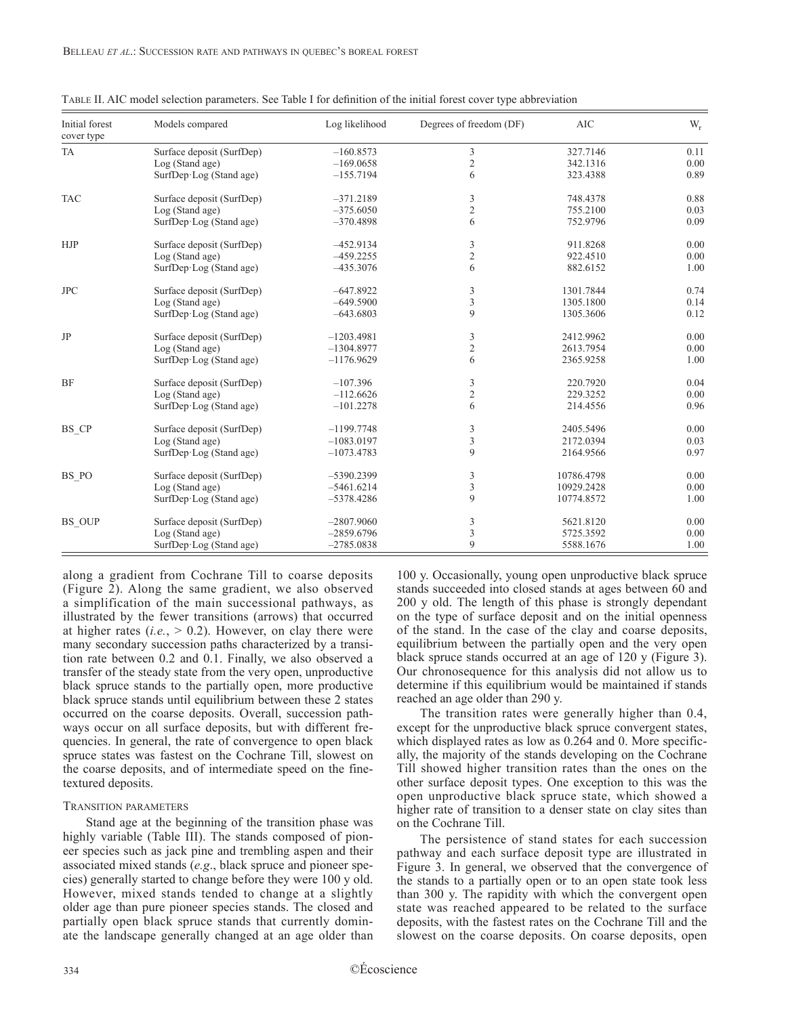| Initial forest<br>cover type | Models compared           | Log likelihood | Degrees of freedom (DF) | <b>AIC</b> | $W_r$ |
|------------------------------|---------------------------|----------------|-------------------------|------------|-------|
| TA                           | Surface deposit (SurfDep) | $-160.8573$    | 3                       | 327.7146   | 0.11  |
|                              | Log (Stand age)           | $-169.0658$    | $\overline{c}$          | 342.1316   | 0.00  |
|                              | SurfDep Log (Stand age)   | $-155.7194$    | 6                       | 323.4388   | 0.89  |
| <b>TAC</b>                   | Surface deposit (SurfDep) | $-371.2189$    | 3                       | 748.4378   | 0.88  |
|                              | Log (Stand age)           | $-375.6050$    | $\mathfrak{2}$          | 755.2100   | 0.03  |
|                              | SurfDep Log (Stand age)   | $-370.4898$    | 6                       | 752.9796   | 0.09  |
| <b>HJP</b>                   | Surface deposit (SurfDep) | $-452.9134$    | 3                       | 911.8268   | 0.00  |
|                              | Log (Stand age)           | $-459.2255$    | $\overline{c}$          | 922.4510   | 0.00  |
|                              | SurfDep Log (Stand age)   | $-435.3076$    | 6                       | 882.6152   | 1.00  |
| <b>JPC</b>                   | Surface deposit (SurfDep) | $-647.8922$    | 3                       | 1301.7844  | 0.74  |
|                              | Log (Stand age)           | $-649.5900$    | 3                       | 1305.1800  | 0.14  |
|                              | SurfDep Log (Stand age)   | $-643.6803$    | 9                       | 1305.3606  | 0.12  |
| JP                           | Surface deposit (SurfDep) | $-1203.4981$   | 3                       | 2412.9962  | 0.00  |
|                              | Log (Stand age)           | $-1304.8977$   | $\overline{c}$          | 2613.7954  | 0.00  |
|                              | SurfDep Log (Stand age)   | $-1176.9629$   | 6                       | 2365.9258  | 1.00  |
| BF                           | Surface deposit (SurfDep) | $-107.396$     | 3                       | 220.7920   | 0.04  |
|                              | Log (Stand age)           | $-112.6626$    | $\mathfrak{2}$          | 229.3252   | 0.00  |
|                              | SurfDep Log (Stand age)   | $-101.2278$    | 6                       | 214.4556   | 0.96  |
| BS_CP                        | Surface deposit (SurfDep) | $-1199.7748$   | 3                       | 2405.5496  | 0.00  |
|                              | Log (Stand age)           | $-1083.0197$   | 3                       | 2172.0394  | 0.03  |
|                              | SurfDep Log (Stand age)   | $-1073.4783$   | 9                       | 2164.9566  | 0.97  |
| BS PO                        | Surface deposit (SurfDep) | $-5390.2399$   | 3                       | 10786.4798 | 0.00  |
|                              | Log (Stand age)           | $-5461.6214$   | 3                       | 10929.2428 | 0.00  |
|                              | SurfDep Log (Stand age)   | $-5378.4286$   | 9                       | 10774.8572 | 1.00  |
| BS OUP                       | Surface deposit (SurfDep) | $-2807.9060$   | 3                       | 5621.8120  | 0.00  |
|                              | Log (Stand age)           | $-2859.6796$   | 3                       | 5725.3592  | 0.00  |
|                              | SurfDep Log (Stand age)   | $-2785.0838$   | 9                       | 5588.1676  | 1.00  |

| TABLE II. AIC model selection parameters. See Table I for definition of the initial forest cover type abbreviation |  |  |  |
|--------------------------------------------------------------------------------------------------------------------|--|--|--|
|                                                                                                                    |  |  |  |

along a gradient from Cochrane Till to coarse deposits (Figure 2). Along the same gradient, we also observed a simplification of the main successional pathways, as illustrated by the fewer transitions (arrows) that occurred at higher rates  $(i.e., > 0.2)$ . However, on clay there were many secondary succession paths characterized by a transition rate between 0.2 and 0.1. Finally, we also observed a transfer of the steady state from the very open, unproductive black spruce stands to the partially open, more productive black spruce stands until equilibrium between these 2 states occurred on the coarse deposits. Overall, succession pathways occur on all surface deposits, but with different frequencies. In general, the rate of convergence to open black spruce states was fastest on the Cochrane Till, slowest on the coarse deposits, and of intermediate speed on the finetextured deposits.

#### Transition parameters

Stand age at the beginning of the transition phase was highly variable (Table III). The stands composed of pioneer species such as jack pine and trembling aspen and their associated mixed stands (*e.g*., black spruce and pioneer species) generally started to change before they were 100 y old. However, mixed stands tended to change at a slightly older age than pure pioneer species stands. The closed and partially open black spruce stands that currently dominate the landscape generally changed at an age older than 100 y. Occasionally, young open unproductive black spruce stands succeeded into closed stands at ages between 60 and 200 y old. The length of this phase is strongly dependant on the type of surface deposit and on the initial openness of the stand. In the case of the clay and coarse deposits, equilibrium between the partially open and the very open black spruce stands occurred at an age of 120 y (Figure 3). Our chronosequence for this analysis did not allow us to determine if this equilibrium would be maintained if stands reached an age older than 290 y.

The transition rates were generally higher than 0.4, except for the unproductive black spruce convergent states, which displayed rates as low as 0.264 and 0. More specifically, the majority of the stands developing on the Cochrane Till showed higher transition rates than the ones on the other surface deposit types. One exception to this was the open unproductive black spruce state, which showed a higher rate of transition to a denser state on clay sites than on the Cochrane Till.

The persistence of stand states for each succession pathway and each surface deposit type are illustrated in Figure 3. In general, we observed that the convergence of the stands to a partially open or to an open state took less than 300 y. The rapidity with which the convergent open state was reached appeared to be related to the surface deposits, with the fastest rates on the Cochrane Till and the slowest on the coarse deposits. On coarse deposits, open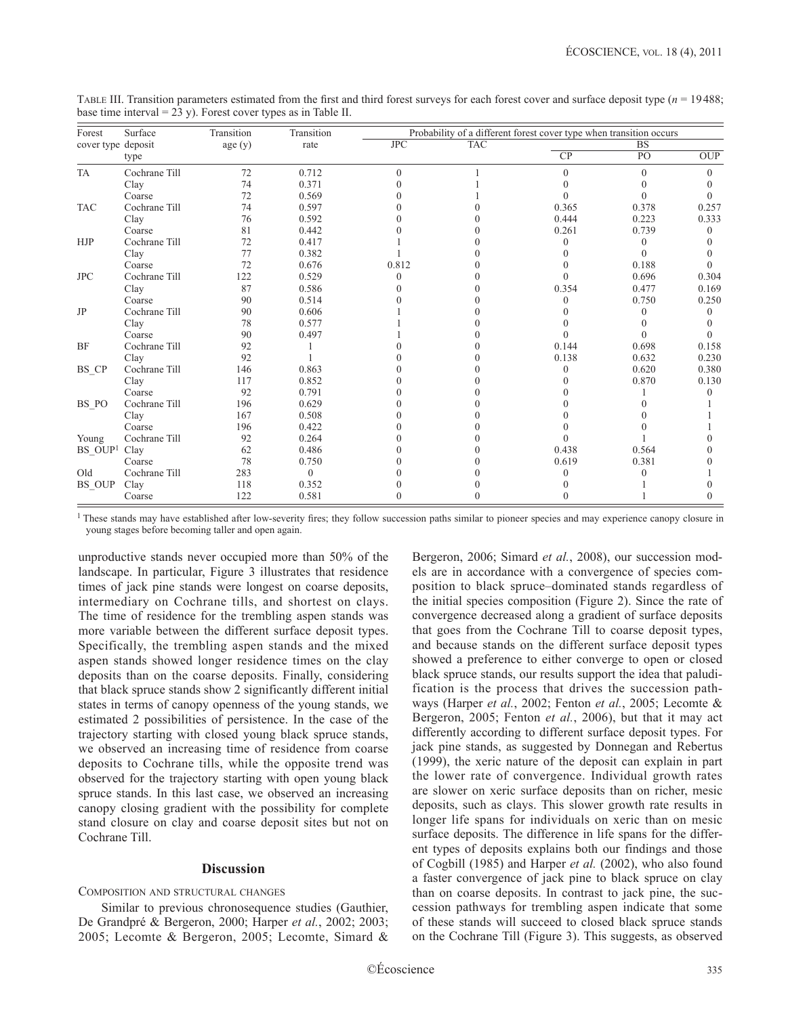| Forest                 | Surface       | Transition | Transition |          |            | Probability of a different forest cover type when transition occurs |           |          |  |
|------------------------|---------------|------------|------------|----------|------------|---------------------------------------------------------------------|-----------|----------|--|
| cover type deposit     |               | age(y)     | rate       | JPC      | <b>TAC</b> |                                                                     | <b>BS</b> |          |  |
|                        | type          |            |            |          |            | $\overline{CP}$                                                     | PO        | OUP      |  |
| <b>TA</b>              | Cochrane Till | 72         | 0.712      | $\Omega$ |            | $\Omega$                                                            | $\theta$  | $\Omega$ |  |
|                        | Clay          | 74         | 0.371      |          |            |                                                                     |           |          |  |
|                        | Coarse        | 72         | 0.569      |          |            |                                                                     |           |          |  |
| <b>TAC</b>             | Cochrane Till | 74         | 0.597      |          |            | 0.365                                                               | 0.378     | 0.257    |  |
|                        | Clay          | 76         | 0.592      |          |            | 0.444                                                               | 0.223     | 0.333    |  |
|                        | Coarse        | 81         | 0.442      |          |            | 0.261                                                               | 0.739     | $\theta$ |  |
| <b>HJP</b>             | Cochrane Till | 72         | 0.417      |          |            |                                                                     |           |          |  |
|                        | Clay          | 77         | 0.382      |          |            |                                                                     | $\Omega$  |          |  |
|                        | Coarse        | 72         | 0.676      | 0.812    |            |                                                                     | 0.188     | 0        |  |
| <b>JPC</b>             | Cochrane Till | 122        | 0.529      |          |            |                                                                     | 0.696     | 0.304    |  |
|                        | Clay          | 87         | 0.586      |          |            | 0.354                                                               | 0.477     | 0.169    |  |
|                        | Coarse        | 90         | 0.514      |          |            |                                                                     | 0.750     | 0.250    |  |
| JP                     | Cochrane Till | 90         | 0.606      |          |            |                                                                     |           | $\Omega$ |  |
|                        | Clay          | 78         | 0.577      |          |            |                                                                     |           |          |  |
|                        | Coarse        | 90         | 0.497      |          |            |                                                                     |           | 0        |  |
| <b>BF</b>              | Cochrane Till | 92         |            |          |            | 0.144                                                               | 0.698     | 0.158    |  |
|                        | Clay          | 92         |            |          |            | 0.138                                                               | 0.632     | 0.230    |  |
| BS_CP                  | Cochrane Till | 146        | 0.863      |          |            |                                                                     | 0.620     | 0.380    |  |
|                        | Clay          | 117        | 0.852      |          |            |                                                                     | 0.870     | 0.130    |  |
|                        | Coarse        | 92         | 0.791      |          |            |                                                                     |           | 0        |  |
| BS_PO                  | Cochrane Till | 196        | 0.629      |          |            |                                                                     |           |          |  |
|                        | Clay          | 167        | 0.508      |          |            |                                                                     |           |          |  |
|                        | Coarse        | 196        | 0.422      |          |            |                                                                     |           |          |  |
| Young                  | Cochrane Till | 92         | 0.264      |          |            |                                                                     |           |          |  |
| $BS_$ OUP <sup>1</sup> | Clay          | 62         | 0.486      |          |            | 0.438                                                               | 0.564     |          |  |
|                        | Coarse        | 78         | 0.750      |          |            | 0.619                                                               | 0.381     |          |  |
| Old                    | Cochrane Till | 283        | $\theta$   |          |            |                                                                     |           |          |  |
| BS_OUP                 | Clay          | 118        | 0.352      |          |            |                                                                     |           |          |  |
|                        | Coarse        | 122        | 0.581      |          |            |                                                                     |           |          |  |

TABLE III. Transition parameters estimated from the first and third forest surveys for each forest cover and surface deposit type  $(n = 19488)$ ; base time interval =  $23$  y). Forest cover types as in Table II.

<sup>1</sup> These stands may have established after low-severity fires; they follow succession paths similar to pioneer species and may experience canopy closure in young stages before becoming taller and open again.

unproductive stands never occupied more than 50% of the landscape. In particular, Figure 3 illustrates that residence times of jack pine stands were longest on coarse deposits, intermediary on Cochrane tills, and shortest on clays. The time of residence for the trembling aspen stands was more variable between the different surface deposit types. Specifically, the trembling aspen stands and the mixed aspen stands showed longer residence times on the clay deposits than on the coarse deposits. Finally, considering that black spruce stands show 2 significantly different initial states in terms of canopy openness of the young stands, we estimated 2 possibilities of persistence. In the case of the trajectory starting with closed young black spruce stands, we observed an increasing time of residence from coarse deposits to Cochrane tills, while the opposite trend was observed for the trajectory starting with open young black spruce stands. In this last case, we observed an increasing canopy closing gradient with the possibility for complete stand closure on clay and coarse deposit sites but not on Cochrane Till.

# **Discussion**

# Composition and structural changes

Similar to previous chronosequence studies (Gauthier, De Grandpré & Bergeron, 2000; Harper *et al.*, 2002; 2003; 2005; Lecomte & Bergeron, 2005; Lecomte, Simard &

Bergeron, 2006; Simard *et al.*, 2008), our succession models are in accordance with a convergence of species composition to black spruce–dominated stands regardless of the initial species composition (Figure 2). Since the rate of convergence decreased along a gradient of surface deposits that goes from the Cochrane Till to coarse deposit types, and because stands on the different surface deposit types showed a preference to either converge to open or closed black spruce stands, our results support the idea that paludification is the process that drives the succession pathways (Harper *et al.*, 2002; Fenton *et al.*, 2005; Lecomte & Bergeron, 2005; Fenton *et al.*, 2006), but that it may act differently according to different surface deposit types. For jack pine stands, as suggested by Donnegan and Rebertus (1999), the xeric nature of the deposit can explain in part the lower rate of convergence. Individual growth rates are slower on xeric surface deposits than on richer, mesic deposits, such as clays. This slower growth rate results in longer life spans for individuals on xeric than on mesic surface deposits. The difference in life spans for the different types of deposits explains both our findings and those of Cogbill (1985) and Harper *et al.* (2002), who also found a faster convergence of jack pine to black spruce on clay than on coarse deposits. In contrast to jack pine, the succession pathways for trembling aspen indicate that some of these stands will succeed to closed black spruce stands on the Cochrane Till (Figure 3). This suggests, as observed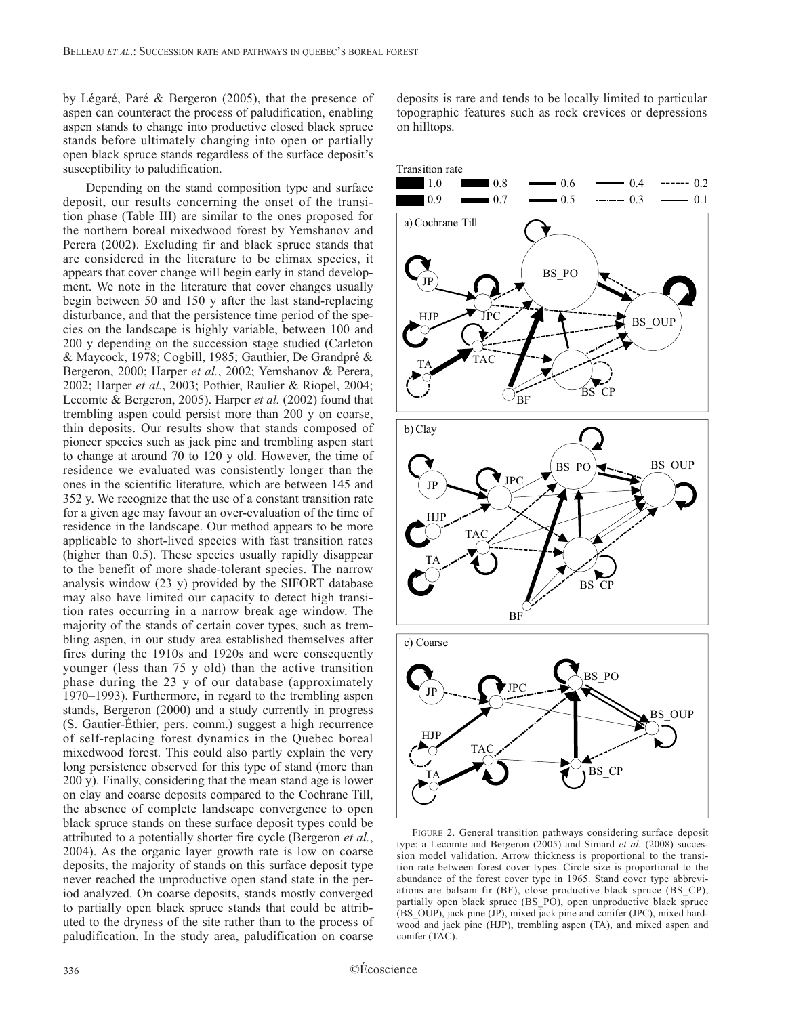by Légaré, Paré & Bergeron (2005), that the presence of aspen can counteract the process of paludification, enabling aspen stands to change into productive closed black spruce stands before ultimately changing into open or partially open black spruce stands regardless of the surface deposit's susceptibility to paludification.

Depending on the stand composition type and surface deposit, our results concerning the onset of the transition phase (Table III) are similar to the ones proposed for the northern boreal mixedwood forest by Yemshanov and Perera (2002). Excluding fir and black spruce stands that are considered in the literature to be climax species, it appears that cover change will begin early in stand development. We note in the literature that cover changes usually begin between 50 and 150 y after the last stand-replacing disturbance, and that the persistence time period of the species on the landscape is highly variable, between 100 and 200 y depending on the succession stage studied (Carleton & Maycock, 1978; Cogbill, 1985; Gauthier, De Grandpré & Bergeron, 2000; Harper *et al.*, 2002; Yemshanov & Perera, 2002; Harper *et al.*, 2003; Pothier, Raulier & Riopel, 2004; Lecomte & Bergeron, 2005). Harper *et al.* (2002) found that trembling aspen could persist more than 200 y on coarse, thin deposits. Our results show that stands composed of pioneer species such as jack pine and trembling aspen start to change at around 70 to 120 y old. However, the time of residence we evaluated was consistently longer than the ones in the scientific literature, which are between 145 and 352 y. We recognize that the use of a constant transition rate for a given age may favour an over-evaluation of the time of residence in the landscape. Our method appears to be more applicable to short-lived species with fast transition rates (higher than 0.5). These species usually rapidly disappear to the benefit of more shade-tolerant species. The narrow analysis window (23 y) provided by the SIFORT database may also have limited our capacity to detect high transition rates occurring in a narrow break age window. The majority of the stands of certain cover types, such as trembling aspen, in our study area established themselves after fires during the 1910s and 1920s and were consequently younger (less than 75 y old) than the active transition phase during the 23 y of our database (approximately 1970–1993). Furthermore, in regard to the trembling aspen stands, Bergeron (2000) and a study currently in progress (S. Gautier-Éthier, pers. comm.) suggest a high recurrence of self-replacing forest dynamics in the Quebec boreal mixedwood forest. This could also partly explain the very long persistence observed for this type of stand (more than 200 y). Finally, considering that the mean stand age is lower on clay and coarse deposits compared to the Cochrane Till, the absence of complete landscape convergence to open black spruce stands on these surface deposit types could be attributed to a potentially shorter fire cycle (Bergeron *et al.*, 2004). As the organic layer growth rate is low on coarse deposits, the majority of stands on this surface deposit type never reached the unproductive open stand state in the period analyzed. On coarse deposits, stands mostly converged to partially open black spruce stands that could be attributed to the dryness of the site rather than to the process of paludification. In the study area, paludification on coarse

deposits is rare and tends to be locally limited to particular topographic features such as rock crevices or depressions on hilltops.



FIGURE 2. General transition pathways considering surface deposit type: a Lecomte and Bergeron (2005) and Simard *et al.* (2008) succession model validation. Arrow thickness is proportional to the transition rate between forest cover types. Circle size is proportional to the abundance of the forest cover type in 1965. Stand cover type abbreviations are balsam fir (BF), close productive black spruce (BS\_CP), partially open black spruce (BS\_PO), open unproductive black spruce (BS\_OUP), jack pine (JP), mixed jack pine and conifer (JPC), mixed hardwood and jack pine (HJP), trembling aspen (TA), and mixed aspen and conifer (TAC).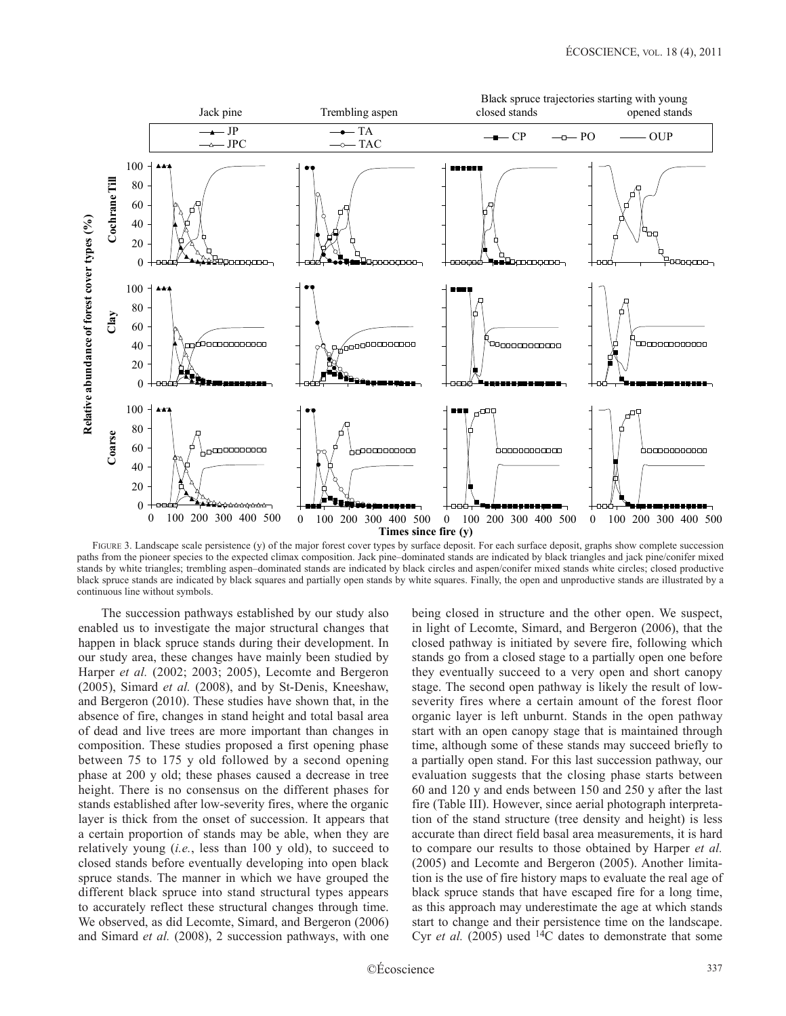

FIGURE 3. Landscape scale persistence (y) of the major forest cover types by surface deposit. For each surface deposit, graphs show complete succession paths from the pioneer species to the expected climax composition. Jack pine–dominated stands are indicated by black triangles and jack pine/conifer mixed stands by white triangles; trembling aspen–dominated stands are indicated by black circles and aspen/conifer mixed stands white circles; closed productive black spruce stands are indicated by black squares and partially open stands by white squares. Finally, the open and unproductive stands are illustrated by a continuous line without symbols.

The succession pathways established by our study also enabled us to investigate the major structural changes that happen in black spruce stands during their development. In our study area, these changes have mainly been studied by Harper *et al.* (2002; 2003; 2005), Lecomte and Bergeron (2005), Simard *et al.* (2008), and by St-Denis, Kneeshaw, and Bergeron (2010). These studies have shown that, in the absence of fire, changes in stand height and total basal area of dead and live trees are more important than changes in composition. These studies proposed a first opening phase between 75 to 175 y old followed by a second opening phase at 200 y old; these phases caused a decrease in tree height. There is no consensus on the different phases for stands established after low-severity fires, where the organic layer is thick from the onset of succession. It appears that a certain proportion of stands may be able, when they are relatively young (*i.e.*, less than 100 y old), to succeed to closed stands before eventually developing into open black spruce stands. The manner in which we have grouped the different black spruce into stand structural types appears to accurately reflect these structural changes through time. We observed, as did Lecomte, Simard, and Bergeron (2006) and Simard *et al.* (2008), 2 succession pathways, with one being closed in structure and the other open. We suspect, in light of Lecomte, Simard, and Bergeron (2006), that the closed pathway is initiated by severe fire, following which stands go from a closed stage to a partially open one before they eventually succeed to a very open and short canopy stage. The second open pathway is likely the result of lowseverity fires where a certain amount of the forest floor organic layer is left unburnt. Stands in the open pathway start with an open canopy stage that is maintained through time, although some of these stands may succeed briefly to a partially open stand. For this last succession pathway, our evaluation suggests that the closing phase starts between 60 and 120 y and ends between 150 and 250 y after the last fire (Table III). However, since aerial photograph interpretation of the stand structure (tree density and height) is less accurate than direct field basal area measurements, it is hard to compare our results to those obtained by Harper *et al.* (2005) and Lecomte and Bergeron (2005). Another limitation is the use of fire history maps to evaluate the real age of black spruce stands that have escaped fire for a long time, as this approach may underestimate the age at which stands start to change and their persistence time on the landscape. Cyr *et al.* (2005) used 14C dates to demonstrate that some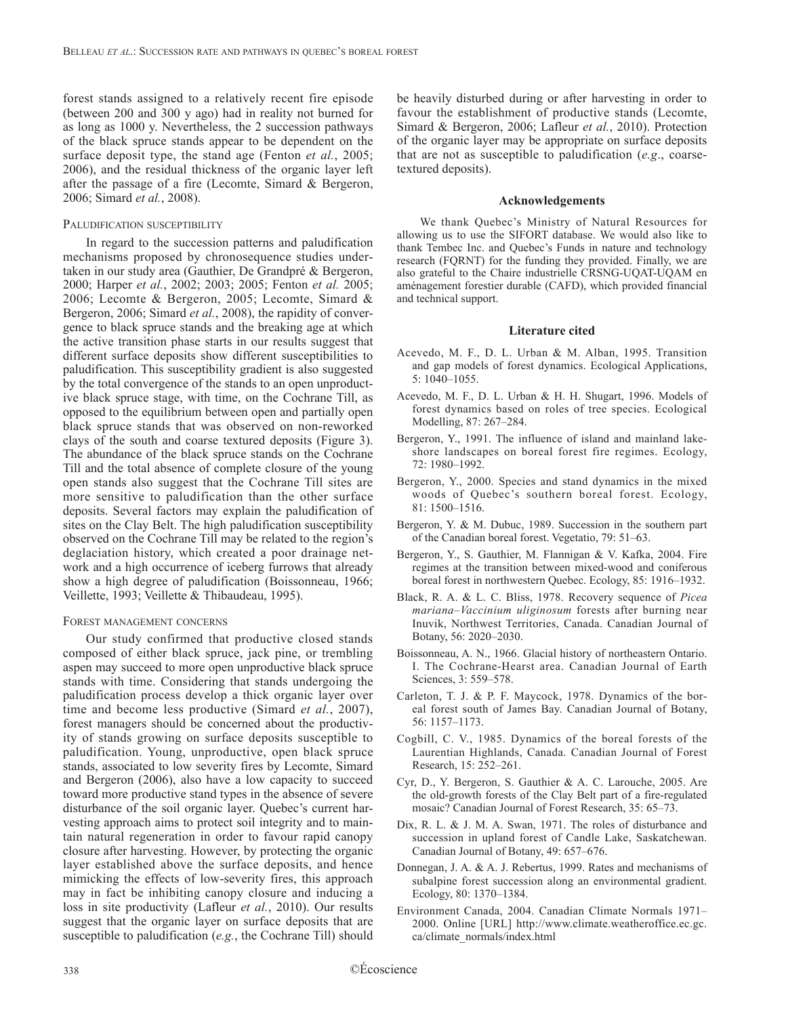forest stands assigned to a relatively recent fire episode (between 200 and 300 y ago) had in reality not burned for as long as 1000 y. Nevertheless, the 2 succession pathways of the black spruce stands appear to be dependent on the surface deposit type, the stand age (Fenton *et al.*, 2005; 2006), and the residual thickness of the organic layer left after the passage of a fire (Lecomte, Simard & Bergeron, 2006; Simard *et al.*, 2008).

## PALUDIFICATION SUSCEPTIBILITY

In regard to the succession patterns and paludification mechanisms proposed by chronosequence studies undertaken in our study area (Gauthier, De Grandpré & Bergeron, 2000; Harper *et al.*, 2002; 2003; 2005; Fenton *et al.* 2005; 2006; Lecomte & Bergeron, 2005; Lecomte, Simard & Bergeron, 2006; Simard *et al.*, 2008), the rapidity of convergence to black spruce stands and the breaking age at which the active transition phase starts in our results suggest that different surface deposits show different susceptibilities to paludification. This susceptibility gradient is also suggested by the total convergence of the stands to an open unproductive black spruce stage, with time, on the Cochrane Till, as opposed to the equilibrium between open and partially open black spruce stands that was observed on non-reworked clays of the south and coarse textured deposits (Figure 3). The abundance of the black spruce stands on the Cochrane Till and the total absence of complete closure of the young open stands also suggest that the Cochrane Till sites are more sensitive to paludification than the other surface deposits. Several factors may explain the paludification of sites on the Clay Belt. The high paludification susceptibility observed on the Cochrane Till may be related to the region's deglaciation history, which created a poor drainage network and a high occurrence of iceberg furrows that already show a high degree of paludification (Boissonneau, 1966; Veillette, 1993; Veillette & Thibaudeau, 1995).

## Forest management concerns

Our study confirmed that productive closed stands composed of either black spruce, jack pine, or trembling aspen may succeed to more open unproductive black spruce stands with time. Considering that stands undergoing the paludification process develop a thick organic layer over time and become less productive (Simard *et al.*, 2007), forest managers should be concerned about the productivity of stands growing on surface deposits susceptible to paludification. Young, unproductive, open black spruce stands, associated to low severity fires by Lecomte, Simard and Bergeron (2006), also have a low capacity to succeed toward more productive stand types in the absence of severe disturbance of the soil organic layer. Quebec's current harvesting approach aims to protect soil integrity and to maintain natural regeneration in order to favour rapid canopy closure after harvesting. However, by protecting the organic layer established above the surface deposits, and hence mimicking the effects of low-severity fires, this approach may in fact be inhibiting canopy closure and inducing a loss in site productivity (Lafleur *et al.*, 2010). Our results suggest that the organic layer on surface deposits that are susceptible to paludification (*e.g.*, the Cochrane Till) should

be heavily disturbed during or after harvesting in order to favour the establishment of productive stands (Lecomte, Simard & Bergeron, 2006; Lafleur *et al.*, 2010). Protection of the organic layer may be appropriate on surface deposits that are not as susceptible to paludification (*e.g*., coarsetextured deposits).

## **Acknowledgements**

We thank Quebec's Ministry of Natural Resources for allowing us to use the SIFORT database. We would also like to thank Tembec Inc. and Quebec's Funds in nature and technology research (FQRNT) for the funding they provided. Finally, we are also grateful to the Chaire industrielle CRSNG-UQAT-UQAM en aménagement forestier durable (CAFD), which provided financial and technical support.

## **Literature cited**

- Acevedo, M. F., D. L. Urban & M. Alban, 1995. Transition and gap models of forest dynamics. Ecological Applications, 5: 1040–1055.
- Acevedo, M. F., D. L. Urban & H. H. Shugart, 1996. Models of forest dynamics based on roles of tree species. Ecological Modelling, 87: 267–284.
- Bergeron, Y., 1991. The influence of island and mainland lakeshore landscapes on boreal forest fire regimes. Ecology, 72: 1980–1992.
- Bergeron, Y., 2000. Species and stand dynamics in the mixed woods of Quebec's southern boreal forest. Ecology, 81: 1500–1516.
- Bergeron, Y. & M. Dubuc, 1989. Succession in the southern part of the Canadian boreal forest. Vegetatio, 79: 51–63.
- Bergeron, Y., S. Gauthier, M. Flannigan & V. Kafka, 2004. Fire regimes at the transition between mixed-wood and coniferous boreal forest in northwestern Quebec. Ecology, 85: 1916–1932.
- Black, R. A. & L. C. Bliss, 1978. Recovery sequence of *Picea mariana–Vaccinium uliginosum* forests after burning near Inuvik, Northwest Territories, Canada. Canadian Journal of Botany, 56: 2020–2030.
- Boissonneau, A. N., 1966. Glacial history of northeastern Ontario. I. The Cochrane-Hearst area. Canadian Journal of Earth Sciences, 3: 559–578.
- Carleton, T. J. & P. F. Maycock, 1978. Dynamics of the boreal forest south of James Bay. Canadian Journal of Botany, 56: 1157–1173.
- Cogbill, C. V., 1985. Dynamics of the boreal forests of the Laurentian Highlands, Canada. Canadian Journal of Forest Research, 15: 252–261.
- Cyr, D., Y. Bergeron, S. Gauthier & A. C. Larouche, 2005. Are the old-growth forests of the Clay Belt part of a fire-regulated mosaic? Canadian Journal of Forest Research, 35: 65–73.
- Dix, R. L. & J. M. A. Swan, 1971. The roles of disturbance and succession in upland forest of Candle Lake, Saskatchewan. Canadian Journal of Botany, 49: 657–676.
- Donnegan, J. A. & A. J. Rebertus, 1999. Rates and mechanisms of subalpine forest succession along an environmental gradient. Ecology, 80: 1370–1384.
- Environment Canada, 2004. Canadian Climate Normals 1971– 2000. Online [URL] http://www.climate.weatheroffice.ec.gc. ca/climate\_normals/index.html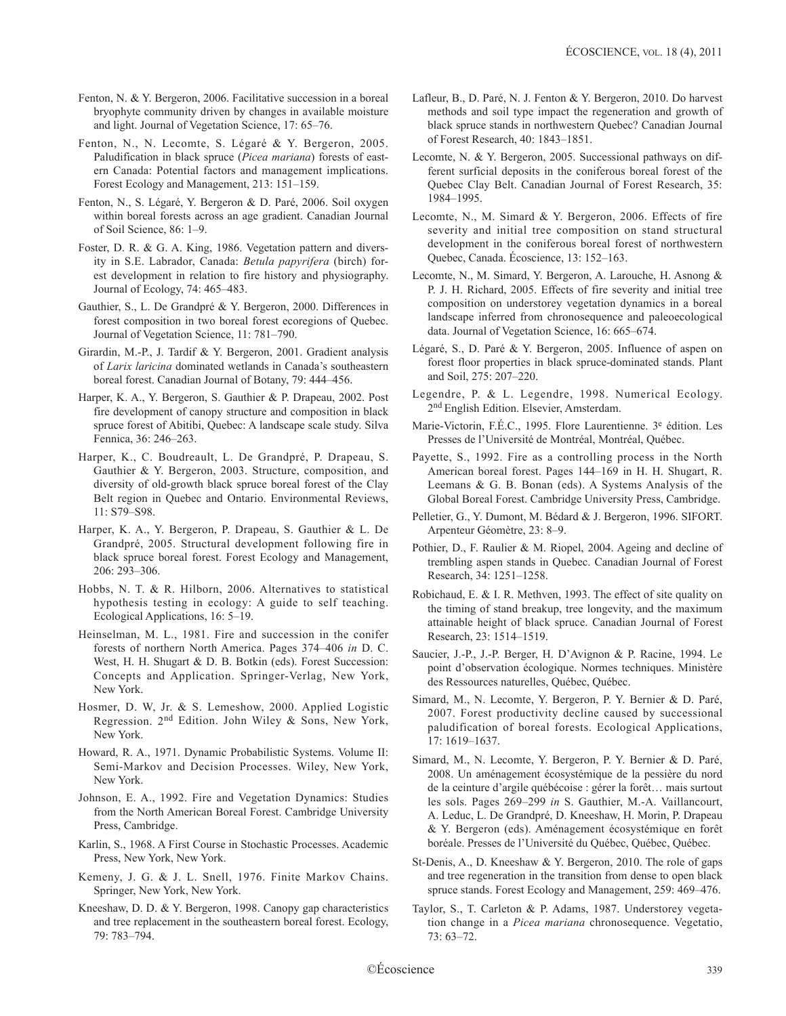- Fenton, N. & Y. Bergeron, 2006. Facilitative succession in a boreal bryophyte community driven by changes in available moisture and light. Journal of Vegetation Science, 17: 65–76.
- Fenton, N., N. Lecomte, S. Légaré & Y. Bergeron, 2005. Paludification in black spruce (*Picea mariana*) forests of eastern Canada: Potential factors and management implications. Forest Ecology and Management, 213: 151–159.
- Fenton, N., S. Légaré, Y. Bergeron & D. Paré, 2006. Soil oxygen within boreal forests across an age gradient. Canadian Journal of Soil Science, 86: 1–9.
- Foster, D. R. & G. A. King, 1986. Vegetation pattern and diversity in S.E. Labrador, Canada: *Betula papyrifera* (birch) forest development in relation to fire history and physiography. Journal of Ecology, 74: 465–483.
- Gauthier, S., L. De Grandpré & Y. Bergeron, 2000. Differences in forest composition in two boreal forest ecoregions of Quebec. Journal of Vegetation Science, 11: 781–790.
- Girardin, M.-P., J. Tardif & Y. Bergeron, 2001. Gradient analysis of *Larix laricina* dominated wetlands in Canada's southeastern boreal forest. Canadian Journal of Botany, 79: 444–456.
- Harper, K. A., Y. Bergeron, S. Gauthier & P. Drapeau, 2002. Post fire development of canopy structure and composition in black spruce forest of Abitibi, Quebec: A landscape scale study. Silva Fennica, 36: 246–263.
- Harper, K., C. Boudreault, L. De Grandpré, P. Drapeau, S. Gauthier & Y. Bergeron, 2003. Structure, composition, and diversity of old-growth black spruce boreal forest of the Clay Belt region in Quebec and Ontario. Environmental Reviews, 11: S79–S98.
- Harper, K. A., Y. Bergeron, P. Drapeau, S. Gauthier & L. De Grandpré, 2005. Structural development following fire in black spruce boreal forest. Forest Ecology and Management, 206: 293–306.
- Hobbs, N. T. & R. Hilborn, 2006. Alternatives to statistical hypothesis testing in ecology: A guide to self teaching. Ecological Applications, 16: 5–19.
- Heinselman, M. L., 1981. Fire and succession in the conifer forests of northern North America. Pages 374–406 *in* D. C. West, H. H. Shugart & D. B. Botkin (eds). Forest Succession: Concepts and Application. Springer-Verlag, New York, New York.
- Hosmer, D. W, Jr. & S. Lemeshow, 2000. Applied Logistic Regression. 2nd Edition. John Wiley & Sons, New York, New York.
- Howard, R. A., 1971. Dynamic Probabilistic Systems. Volume II: Semi-Markov and Decision Processes. Wiley, New York, New York.
- Johnson, E. A., 1992. Fire and Vegetation Dynamics: Studies from the North American Boreal Forest. Cambridge University Press, Cambridge.
- Karlin, S., 1968. A First Course in Stochastic Processes. Academic Press, New York, New York.
- Kemeny, J. G. & J. L. Snell, 1976. Finite Markov Chains. Springer, New York, New York.
- Kneeshaw, D. D. & Y. Bergeron, 1998. Canopy gap characteristics and tree replacement in the southeastern boreal forest. Ecology, 79: 783–794.
- Lafleur, B., D. Paré, N. J. Fenton & Y. Bergeron, 2010. Do harvest methods and soil type impact the regeneration and growth of black spruce stands in northwestern Quebec? Canadian Journal of Forest Research, 40: 1843–1851.
- Lecomte, N. & Y. Bergeron, 2005. Successional pathways on different surficial deposits in the coniferous boreal forest of the Quebec Clay Belt. Canadian Journal of Forest Research, 35: 1984–1995.
- Lecomte, N., M. Simard & Y. Bergeron, 2006. Effects of fire severity and initial tree composition on stand structural development in the coniferous boreal forest of northwestern Quebec, Canada. Écoscience, 13: 152–163.
- Lecomte, N., M. Simard, Y. Bergeron, A. Larouche, H. Asnong & P. J. H. Richard, 2005. Effects of fire severity and initial tree composition on understorey vegetation dynamics in a boreal landscape inferred from chronosequence and paleoecological data. Journal of Vegetation Science, 16: 665–674.
- Légaré, S., D. Paré & Y. Bergeron, 2005. Influence of aspen on forest floor properties in black spruce-dominated stands. Plant and Soil, 275: 207–220.
- Legendre, P. & L. Legendre, 1998. Numerical Ecology. 2nd English Edition. Elsevier, Amsterdam.
- Marie-Victorin, F.É.C., 1995. Flore Laurentienne. 3e édition. Les Presses de l'Université de Montréal, Montréal, Québec.
- Payette, S., 1992. Fire as a controlling process in the North American boreal forest. Pages 144–169 in H. H. Shugart, R. Leemans & G. B. Bonan (eds). A Systems Analysis of the Global Boreal Forest. Cambridge University Press, Cambridge.
- Pelletier, G., Y. Dumont, M. Bédard & J. Bergeron, 1996. SIFORT. Arpenteur Géomètre, 23: 8–9.
- Pothier, D., F. Raulier & M. Riopel, 2004. Ageing and decline of trembling aspen stands in Quebec. Canadian Journal of Forest Research, 34: 1251–1258.
- Robichaud, E. & I. R. Methven, 1993. The effect of site quality on the timing of stand breakup, tree longevity, and the maximum attainable height of black spruce. Canadian Journal of Forest Research, 23: 1514–1519.
- Saucier, J.-P., J.-P. Berger, H. D'Avignon & P. Racine, 1994. Le point d'observation écologique. Normes techniques. Ministère des Ressources naturelles, Québec, Québec.
- Simard, M., N. Lecomte, Y. Bergeron, P. Y. Bernier & D. Paré, 2007. Forest productivity decline caused by successional paludification of boreal forests. Ecological Applications, 17: 1619–1637.
- Simard, M., N. Lecomte, Y. Bergeron, P. Y. Bernier & D. Paré, 2008. Un aménagement écosystémique de la pessière du nord de la ceinture d'argile québécoise : gérer la forêt… mais surtout les sols. Pages 269–299 *in* S. Gauthier, M.-A. Vaillancourt, A. Leduc, L. De Grandpré, D. Kneeshaw, H. Morin, P. Drapeau & Y. Bergeron (eds). Aménagement écosystémique en forêt boréale. Presses de l'Université du Québec, Québec, Québec.
- St-Denis, A., D. Kneeshaw & Y. Bergeron, 2010. The role of gaps and tree regeneration in the transition from dense to open black spruce stands. Forest Ecology and Management, 259: 469–476.
- Taylor, S., T. Carleton & P. Adams, 1987. Understorey vegetation change in a *Picea mariana* chronosequence. Vegetatio, 73: 63–72.